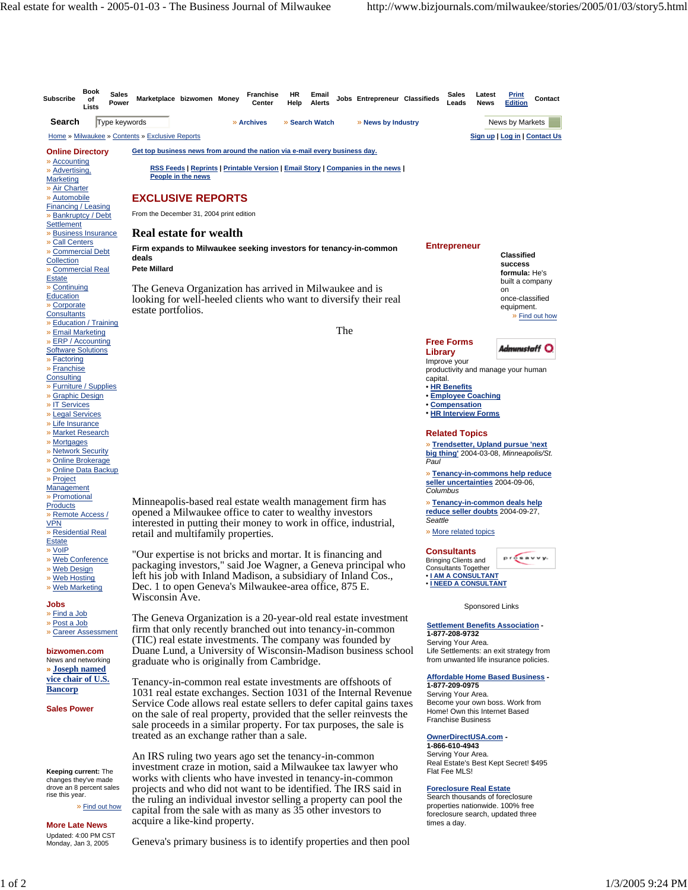